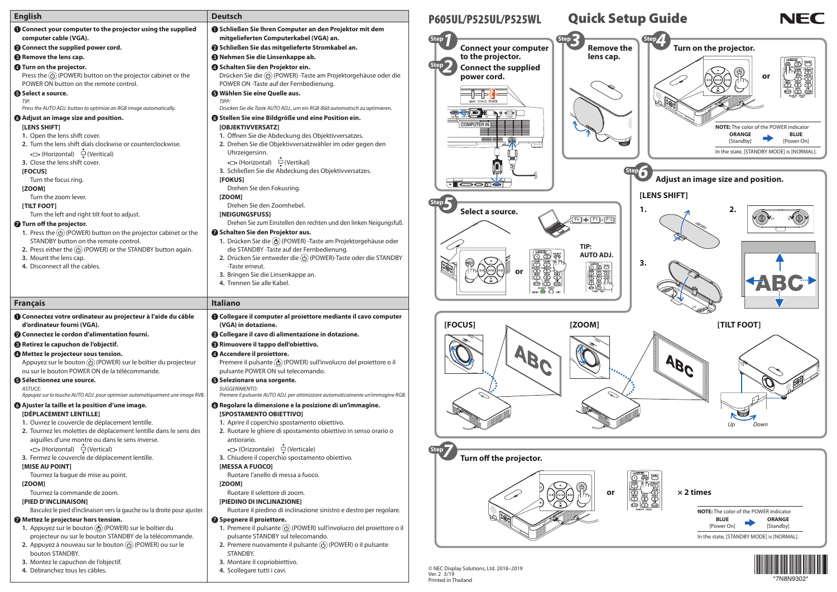| <b>English</b>                                                                                                                                                                                                                                                                         | <b>Deutsch</b>                                                                                                                                                                                                                                                                                                                                                                            | P605UL/P525UL/P525WL                                                   | <b>Quick Setup Gu</b>                                                                                                                                                                                                                                                                                                                                                                                                                |
|----------------------------------------------------------------------------------------------------------------------------------------------------------------------------------------------------------------------------------------------------------------------------------------|-------------------------------------------------------------------------------------------------------------------------------------------------------------------------------------------------------------------------------------------------------------------------------------------------------------------------------------------------------------------------------------------|------------------------------------------------------------------------|--------------------------------------------------------------------------------------------------------------------------------------------------------------------------------------------------------------------------------------------------------------------------------------------------------------------------------------------------------------------------------------------------------------------------------------|
| <b>O</b> Connect your computer to the projector using the supplied                                                                                                                                                                                                                     | Schließen Sie Ihren Computer an den Projektor mit dem                                                                                                                                                                                                                                                                                                                                     |                                                                        |                                                                                                                                                                                                                                                                                                                                                                                                                                      |
| computer cable (VGA).                                                                                                                                                                                                                                                                  | mitgelieferten Computerkabel (VGA) an.                                                                                                                                                                                                                                                                                                                                                    |                                                                        | Step 2                                                                                                                                                                                                                                                                                                                                                                                                                               |
| <b>@</b> Connect the supplied power cord.                                                                                                                                                                                                                                              | 2 Schließen Sie das mitgelieferte Stromkabel an.                                                                                                                                                                                                                                                                                                                                          | <b>Connect your computer</b>                                           | <b>Remove the</b>                                                                                                                                                                                                                                                                                                                                                                                                                    |
| <sup>8</sup> Remove the lens cap.                                                                                                                                                                                                                                                      | <b>8</b> Nehmen Sie die Linsenkappe ab.                                                                                                                                                                                                                                                                                                                                                   | to the projector.                                                      | lens cap.                                                                                                                                                                                                                                                                                                                                                                                                                            |
| <b>4</b> Turn on the projector.<br>Press the $\circled{0}$ (POWER) button on the projector cabinet or the<br>POWER ON button on the remote control.                                                                                                                                    | 4 Schalten Sie den Projektor ein.<br>Drücken Sie die $\textcircled{b}$ (POWER) -Taste am Projektorgehäuse oder die<br>POWER ON -Taste auf der Fernbedienung.                                                                                                                                                                                                                              | <b>Connect the supplied</b><br>power cord.                             |                                                                                                                                                                                                                                                                                                                                                                                                                                      |
| <b>6</b> Select a source.                                                                                                                                                                                                                                                              | <b>6</b> Wählen Sie eine Quelle aus.                                                                                                                                                                                                                                                                                                                                                      |                                                                        |                                                                                                                                                                                                                                                                                                                                                                                                                                      |
| TIP:                                                                                                                                                                                                                                                                                   | TIPP:                                                                                                                                                                                                                                                                                                                                                                                     | LIGHT STATUS POWE                                                      |                                                                                                                                                                                                                                                                                                                                                                                                                                      |
| Press the AUTO ADJ. button to optimize an RGB image automatically.                                                                                                                                                                                                                     | Drücken Sie die Taste AUTO ADJ., um ein RGB-Bild automatisch zu optimieren.                                                                                                                                                                                                                                                                                                               | <b>ing the co</b><br>$\blacktriangleright$ of $\textcircled{\tiny{F}}$ |                                                                                                                                                                                                                                                                                                                                                                                                                                      |
| <b>6</b> Adjust an image size and position.<br>[LENS SHIFT]<br>1. Open the lens shift cover.<br>2. Turn the lens shift dials clockwise or counterclockwise.<br>(Horizontal) <del>□</del> (Veritical)<br>3. Close the lens shift cover.<br>[FOCUS]<br>Turn the focus ring.              | <b>6 Stellen Sie eine Bildgröße und eine Position ein.</b><br>[OBJEKTIVVERSATZ]<br>1. Öffnen Sie die Abdeckung des Objektivversatzes.<br>2. Drehen Sie die Objektivversatzwähler im oder gegen den<br>Uhrzeigersinn.<br>(Horizontal) – (Vertikal)<br>3. Schließen Sie die Abdeckung des Objektivversatzes.<br>[FOKUS]                                                                     | <b>COMPUTER IN</b><br><b>EL DEDICT</b>                                 |                                                                                                                                                                                                                                                                                                                                                                                                                                      |
| [ZOOM]<br>Turn the zoom lever.                                                                                                                                                                                                                                                         | Drehen Sie den Fokusring.<br>[ZOOM]                                                                                                                                                                                                                                                                                                                                                       |                                                                        | [LENS 9                                                                                                                                                                                                                                                                                                                                                                                                                              |
| [TILT FOOT]                                                                                                                                                                                                                                                                            | Drehen Sie den Zoomhebel.                                                                                                                                                                                                                                                                                                                                                                 |                                                                        |                                                                                                                                                                                                                                                                                                                                                                                                                                      |
| Turn the left and right tilt foot to adjust.                                                                                                                                                                                                                                           | [NEIGUNGSFUSS]                                                                                                                                                                                                                                                                                                                                                                            | Select a source.                                                       | 1.                                                                                                                                                                                                                                                                                                                                                                                                                                   |
| Turn off the projector.<br>1. Press the $\circled{0}$ (POWER) button on the projector cabinet or the<br>STANDBY button on the remote control.<br>2. Press either the $\textcircled{1}$ (POWER) or the STANDBY button again.<br>3. Mount the lens cap.<br>4. Disconnect all the cables. | Drehen Sie zum Einstellen den rechten und den linken Neigungsfuß.<br>Schalten Sie den Projektor aus.<br>1. Drücken Sie die (b) (POWER) -Taste am Projektorgehäuse oder<br>die STANDBY -Taste auf der Fernbedienung.<br>2. Drücken Sie entweder die $\textcircled{b}$ (POWER)-Taste oder die STANDBY<br>-Taste erneut.<br>3. Bringen Sie die Linsenkappe an.<br>4. Trennen Sie alle Kabel. | <b>BO</b><br>or                                                        | $\boxed{Fn}$ + $\boxed{F1}$ - $\boxed{F12}$<br>TIP:<br><b>AUTO ADJ.</b><br>3.<br>$\begin{picture}(40,40) \put(0,0){\line(1,0){10}} \put(15,0){\line(1,0){10}} \put(15,0){\line(1,0){10}} \put(15,0){\line(1,0){10}} \put(15,0){\line(1,0){10}} \put(15,0){\line(1,0){10}} \put(15,0){\line(1,0){10}} \put(15,0){\line(1,0){10}} \put(15,0){\line(1,0){10}} \put(15,0){\line(1,0){10}} \put(15,0){\line(1,0){10}} \put(15,0){\line(1$ |
| <b>Français</b>                                                                                                                                                                                                                                                                        | <b>Italiano</b>                                                                                                                                                                                                                                                                                                                                                                           |                                                                        |                                                                                                                                                                                                                                                                                                                                                                                                                                      |
| <b>O Connectez votre ordinateur au projecteur à l'aide du câble</b><br>d'ordinateur fourni (VGA).                                                                                                                                                                                      | <b>O Collegare il computer al proiettore mediante il cavo computer</b><br>(VGA) in dotazione.                                                                                                                                                                                                                                                                                             | [FOCUS]                                                                | [ZOOM]                                                                                                                                                                                                                                                                                                                                                                                                                               |
| 2 Connectez le cordon d'alimentation fourni.                                                                                                                                                                                                                                           | 2 Collegare il cavo di alimentazione in dotazione.                                                                                                                                                                                                                                                                                                                                        |                                                                        |                                                                                                                                                                                                                                                                                                                                                                                                                                      |
| <sup>8</sup> Retirez le capuchon de l'objectif.                                                                                                                                                                                                                                        | <sup>6</sup> Rimuovere il tappo dell'obiettivo.                                                                                                                                                                                                                                                                                                                                           |                                                                        |                                                                                                                                                                                                                                                                                                                                                                                                                                      |
| 4 Mettez le projecteur sous tension.<br>Appuyez sur le bouton $\textcircled{6}$ (POWER) sur le boîtier du projecteur<br>ou sur le bouton POWER ON de la télécommande.                                                                                                                  | 4 Accendere il proiettore.<br>Premere il pulsante (d) (POWER) sull'involucro del proiettore o il<br>pulsante POWER ON sul telecomando.                                                                                                                                                                                                                                                    |                                                                        |                                                                                                                                                                                                                                                                                                                                                                                                                                      |
| <b>6</b> Sélectionnez une source.                                                                                                                                                                                                                                                      | <b>6</b> Selezionare una sorgente.                                                                                                                                                                                                                                                                                                                                                        |                                                                        |                                                                                                                                                                                                                                                                                                                                                                                                                                      |
| <b>ASTUCE:</b><br>Appuyez sur la touche AUTO ADJ. pour optimiser automatiquement une image RVB.                                                                                                                                                                                        | <b>SUGGERIMENTO:</b><br>Premere il pulsante AUTO ADJ. per ottimizzare automaticamente un'immagine RGB.                                                                                                                                                                                                                                                                                    |                                                                        |                                                                                                                                                                                                                                                                                                                                                                                                                                      |
| <b>@</b> Ajuster la taille et la position d'une image.<br>[DÉPLACEMENT LENTILLE]<br>1. Ouvrez le couvercle de déplacement lentille.<br>2. Tournez les molettes de déplacement lentille dans le sens des                                                                                | <b>O</b> Regolare la dimensione e la posizione di un'immagine.<br>[SPOSTAMENTO OBIETTIVO]<br>1. Aprire il coperchio spostamento obiettivo.<br>2. Ruotare le ghiere di spostamento obiettivo in senso orario o                                                                                                                                                                             |                                                                        |                                                                                                                                                                                                                                                                                                                                                                                                                                      |
| aiguilles d'une montre ou dans le sens inverse.                                                                                                                                                                                                                                        | antiorario.                                                                                                                                                                                                                                                                                                                                                                               |                                                                        |                                                                                                                                                                                                                                                                                                                                                                                                                                      |
| (Horizontal) □ (Vertical)<br>3. Fermez le couvercle de déplacement lentille.                                                                                                                                                                                                           | (Orizzontale) □ (Verticale)<br>3. Chiudere il coperchio spostamento obiettivo.                                                                                                                                                                                                                                                                                                            | <b>Step</b><br>Turn off the projector.                                 |                                                                                                                                                                                                                                                                                                                                                                                                                                      |
| [MISE AU POINT]                                                                                                                                                                                                                                                                        | [MESSA A FUOCO]                                                                                                                                                                                                                                                                                                                                                                           |                                                                        |                                                                                                                                                                                                                                                                                                                                                                                                                                      |
| Tournez la bague de mise au point.                                                                                                                                                                                                                                                     | Ruotare l'anello di messa a fuoco.                                                                                                                                                                                                                                                                                                                                                        |                                                                        |                                                                                                                                                                                                                                                                                                                                                                                                                                      |
| [ZOOM]                                                                                                                                                                                                                                                                                 | [ZOOM]                                                                                                                                                                                                                                                                                                                                                                                    |                                                                        |                                                                                                                                                                                                                                                                                                                                                                                                                                      |
| Tournez la commande de zoom.                                                                                                                                                                                                                                                           | Ruotare il selettore di zoom.                                                                                                                                                                                                                                                                                                                                                             |                                                                        | or                                                                                                                                                                                                                                                                                                                                                                                                                                   |
| [PIED D'INCLINAISON]<br>Basculez le pied d'inclinaison vers la gauche ou la droite pour ajuster.                                                                                                                                                                                       | [PIEDINO DI INCLINAZIONE]<br>Ruotare il piedino di inclinazione sinistro e destro per regolare.                                                                                                                                                                                                                                                                                           |                                                                        |                                                                                                                                                                                                                                                                                                                                                                                                                                      |
| Mettez le projecteur hors tension.<br>1. Appuyez sur le bouton (b) (POWER) sur le boîtier du<br>projecteur ou sur le bouton STANDBY de la télécommande.                                                                                                                                | Spegnere il proiettore.<br>1. Premere il pulsante $\textcircled{1}$ (POWER) sull'involucro del proiettore o il<br>pulsante STANDBY sul telecomando.                                                                                                                                                                                                                                       |                                                                        |                                                                                                                                                                                                                                                                                                                                                                                                                                      |
| 2. Appuyez à nouveau sur le bouton $\textcircled{1}$ (POWER) ou sur le                                                                                                                                                                                                                 | 2. Premere nuovamente il pulsante $\circled{0}$ (POWER) o il pulsante                                                                                                                                                                                                                                                                                                                     |                                                                        |                                                                                                                                                                                                                                                                                                                                                                                                                                      |
| bouton STANDBY.<br>3. Montez le capuchon de l'objectif.<br>4. Débranchez tous les câbles.                                                                                                                                                                                              | STANDBY.<br>3. Montare il copriobiettivo.<br>4. Scollegare tutti i cavi.                                                                                                                                                                                                                                                                                                                  | © NEC Display Solutions, Ltd. 2018-2019<br>Ver. 2 3/19                 |                                                                                                                                                                                                                                                                                                                                                                                                                                      |
|                                                                                                                                                                                                                                                                                        |                                                                                                                                                                                                                                                                                                                                                                                           |                                                                        |                                                                                                                                                                                                                                                                                                                                                                                                                                      |



Printed in Thailand